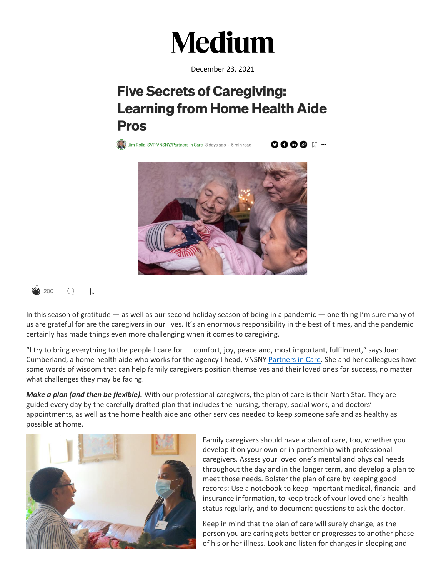

December 23, 2021

## **Five Secrets of Caregiving: Learning from Home Health Aide Pros**

 $\begin{pmatrix} 1 & 1 \\ 0 & 0 \end{pmatrix}$  Jim Rolla, SVP VNSNY/Partners in Care 3 days ago  $\cdot$  5 min read

**0000 N …** 



## $\mathfrak{a}^*$ 200  $\bigcirc$

In this season of gratitude — as well as our second holiday season of being in a pandemic — one thing I'm sure many of us are grateful for are the caregivers in our lives. It's an enormous responsibility in the best of times, and the pandemic certainly has made things even more challenging when it comes to caregiving.

"I try to bring everything to the people I care for — comfort, joy, peace and, most important, fulfilment," says Joan Cumberland, a home health aide who works for the agency I head, VNSNY [Partners in Care.](https://www.vnsny.org/how-we-can-help/private-care-services/) She and her colleagues have some words of wisdom that can help family caregivers position themselves and their loved ones for success, no matter what challenges they may be facing.

*Make a plan (and then be flexible).* With our professional caregivers, the plan of care is their North Star. They are guided every day by the carefully drafted plan that includes the nursing, therapy, social work, and doctors' appointments, as well as the home health aide and other services needed to keep someone safe and as healthy as possible at home.



Family caregivers should have a plan of care, too, whether you develop it on your own or in partnership with professional caregivers. Assess your loved one's mental and physical needs throughout the day and in the longer term, and develop a plan to meet those needs. Bolster the plan of care by keeping good records: Use a notebook to keep important medical, financial and insurance information, to keep track of your loved one's health status regularly, and to document questions to ask the doctor.

Keep in mind that the plan of care will surely change, as the person you are caring gets better or progresses to another phase of his or her illness. Look and listen for changes in sleeping and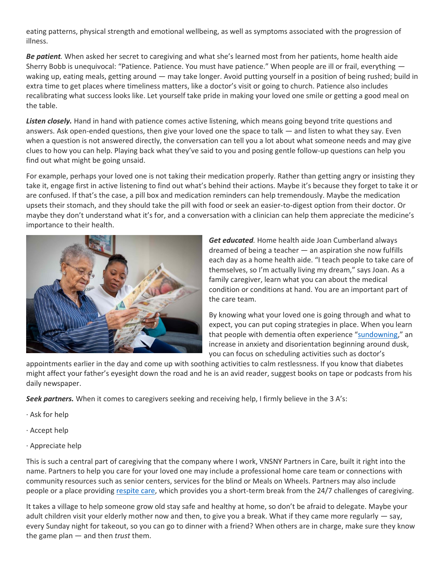eating patterns, physical strength and emotional wellbeing, as well as symptoms associated with the progression of illness.

*Be patient.* When asked her secret to caregiving and what she's learned most from her patients, home health aide Sherry Bobb is unequivocal: "Patience. Patience. You must have patience." When people are ill or frail, everything waking up, eating meals, getting around — may take longer. Avoid putting yourself in a position of being rushed; build in extra time to get places where timeliness matters, like a doctor's visit or going to church. Patience also includes recalibrating what success looks like. Let yourself take pride in making your loved one smile or getting a good meal on the table.

*Listen closely.* Hand in hand with patience comes active listening, which means going beyond trite questions and answers. Ask open-ended questions, then give your loved one the space to talk — and listen to what they say. Even when a question is not answered directly, the conversation can tell you a lot about what someone needs and may give clues to how you can help. Playing back what they've said to you and posing gentle follow-up questions can help you find out what might be going unsaid.

For example, perhaps your loved one is not taking their medication properly. Rather than getting angry or insisting they take it, engage first in active listening to find out what's behind their actions. Maybe it's because they forget to take it or are confused. If that's the case, a pill box and medication reminders can help tremendously. Maybe the medication upsets their stomach, and they should take the pill with food or seek an easier-to-digest option from their doctor. Or maybe they don't understand what it's for, and a conversation with a clinician can help them appreciate the medicine's importance to their health.



*Get educated.* Home health aide Joan Cumberland always dreamed of being a teacher — an aspiration she now fulfills each day as a home health aide. "I teach people to take care of themselves, so I'm actually living my dream," says Joan. As a family caregiver, learn what you can about the medical condition or conditions at hand. You are an important part of the care team.

By knowing what your loved one is going through and what to expect, you can put coping strategies in place. When you learn that people with dementia often experience "[sundowning](https://www.alz.org/help-support/caregiving/stages-behaviors/sleep-issues-sundowning?gclid=CjwKCAiAh_GNBhAHEiwAjOh3ZC06gXRNTsMvgeL8N7ZPB-j0uwpwVlXJ-ZhfY4wGee-xn8T1Q6zxJxoClDcQAvD_BwE)," an increase in anxiety and disorientation beginning around dusk, you can focus on scheduling activities such as doctor's

appointments earlier in the day and come up with soothing activities to calm restlessness. If you know that diabetes might affect your father's eyesight down the road and he is an avid reader, suggest books on tape or podcasts from his daily newspaper.

*Seek partners.* When it comes to caregivers seeking and receiving help, I firmly believe in the 3 A's:

- · Ask for help
- · Accept help
- · Appreciate help

This is such a central part of caregiving that the company where I work, VNSNY Partners in Care, built it right into the name. Partners to help you care for your loved one may include a professional home care team or connections with community resources such as senior centers, services for the blind or Meals on Wheels. Partners may also include people or a place providing [respite care,](https://www.vnsny.org/article/respite-care-need/) which provides you a short-term break from the 24/7 challenges of caregiving.

It takes a village to help someone grow old stay safe and healthy at home, so don't be afraid to delegate. Maybe your adult children visit your elderly mother now and then, to give you a break. What if they came more regularly — say, every Sunday night for takeout, so you can go to dinner with a friend? When others are in charge, make sure they know the game plan — and then *trust* them.